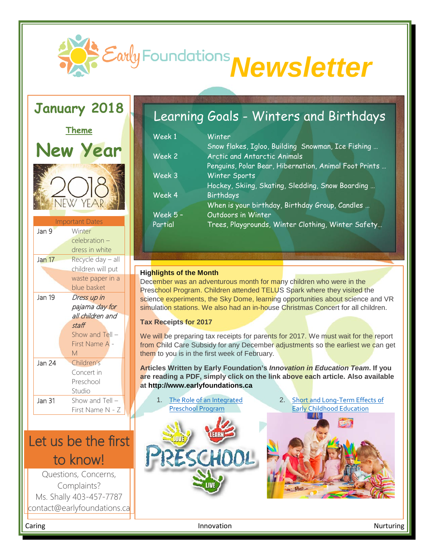

### **January 2018**



# Let us be the first to know!<br>Questions, Concerns,

Complaints? Ms. Shally 403-457-7787 contact@earlyfoundations.ca

### Learning Goals - Winters and Birthdays

| Week 1   | Winter                                                |
|----------|-------------------------------------------------------|
|          | Snow flakes, Igloo, Building Snowman, Ice Fishing     |
| Week 2   | Arctic and Antarctic Animals                          |
|          | Penguins, Polar Bear, Hibernation, Animal Foot Prints |
| Week 3   | Winter Sports                                         |
|          | Hockey, Skiing, Skating, Sledding, Snow Boarding      |
| Week 4   | Birthdays                                             |
|          | When is your birthday, Birthday Group, Candles        |
| Week 5 - | Outdoors in Winter                                    |
| Partial  | Trees, Playgrounds, Winter Clothing, Winter Safety    |

#### **Highlights of the Month**

December was an adventurous month for many children who were in the Preschool Program. Children attended TELUS Spark where they visited the science experiments, the Sky Dome, learning opportunities about science and VR simulation stations. We also had an in-house Christmas Concert for all children.

#### **Tax Receipts for 2017**

We will be preparing tax receipts for parents for 2017. We must wait for the report from Child Care Subsidy for any December adjustments so the earliest we can get them to you is in the first week of February.

**Articles Written by Early Foundation's** *Innovation in Education Team***. If you are reading a PDF, simply click on the link above each article. Also available at http://www.earlyfoundations.ca**



2. [Short and Long-Term Effects of](http://www.earlyfoundations.ca/media/short-and-long-term-effects-of-early-childhood-education)  [Early Childhood Education](http://www.earlyfoundations.ca/media/short-and-long-term-effects-of-early-childhood-education)



Caring **Innovation** Caring Caring Nurturing